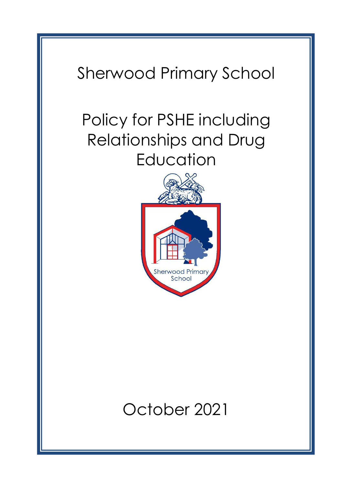# Sherwood Primary School

# Policy for PSHE including Relationships and Drug **Education**



# October 2021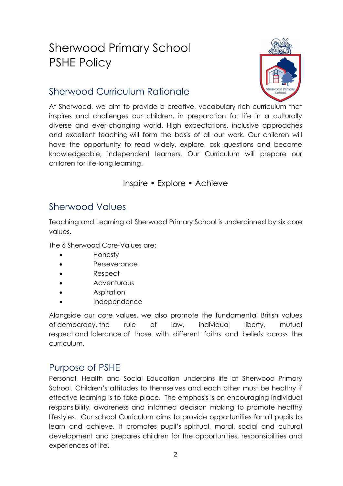# Sherwood Primary School PSHE Policy



# Sherwood Curriculum Rationale

At Sherwood, we aim to provide a creative, vocabulary rich curriculum that inspires and challenges our children, in preparation for life in a culturally diverse and ever-changing world. High expectations, inclusive approaches and excellent teaching will form the basis of all our work. Our children will have the opportunity to read widely, explore, ask questions and become knowledgeable, independent learners. Our Curriculum will prepare our children for life-long learning.

#### Inspire • Explore • Achieve

### Sherwood Values

Teaching and Learning at Sherwood Primary School is underpinned by six core values.

The 6 Sherwood Core-Values are:

- Honesty
- **Perseverance**
- Respect
- Adventurous
- **Aspiration**
- **Independence**

Alongside our core values, we also promote the fundamental British values of democracy, the rule of law, individual liberty, mutual respect and tolerance of those with different faiths and beliefs across the curriculum.

# Purpose of PSHE

Personal, Health and Social Education underpins life at Sherwood Primary School. Children's attitudes to themselves and each other must be healthy if effective learning is to take place. The emphasis is on encouraging individual responsibility, awareness and informed decision making to promote healthy lifestyles. Our school Curriculum aims to provide opportunities for all pupils to learn and achieve. It promotes pupil's spiritual, moral, social and cultural development and prepares children for the opportunities, responsibilities and experiences of life.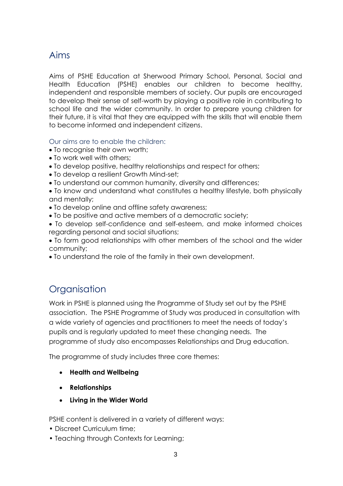# Aims

Aims of PSHE Education at Sherwood Primary School, Personal, Social and Health Education (PSHE) enables our children to become healthy, independent and responsible members of society. Our pupils are encouraged to develop their sense of self-worth by playing a positive role in contributing to school life and the wider community. In order to prepare young children for their future, it is vital that they are equipped with the skills that will enable them to become informed and independent citizens.

Our aims are to enable the children:

- To recognise their own worth;
- To work well with others;
- To develop positive, healthy relationships and respect for others;
- To develop a resilient Growth Mind-set;
- To understand our common humanity, diversity and differences;
- To know and understand what constitutes a healthy lifestyle, both physically and mentally;
- To develop online and offline safety awareness;
- To be positive and active members of a democratic society;
- To develop self-confidence and self-esteem, and make informed choices regarding personal and social situations;

• To form good relationships with other members of the school and the wider community;

• To understand the role of the family in their own development.

# **Organisation**

Work in PSHE is planned using the Programme of Study set out by the PSHE association. The PSHE Programme of Study was produced in consultation with a wide variety of agencies and practitioners to meet the needs of today's pupils and is regularly updated to meet these changing needs. The programme of study also encompasses Relationships and Drug education.

The programme of study includes three core themes:

- **Health and Wellbeing**
- **Relationships**
- **Living in the Wider World**

PSHE content is delivered in a variety of different ways:

- Discreet Curriculum time;
- Teaching through Contexts for Learning;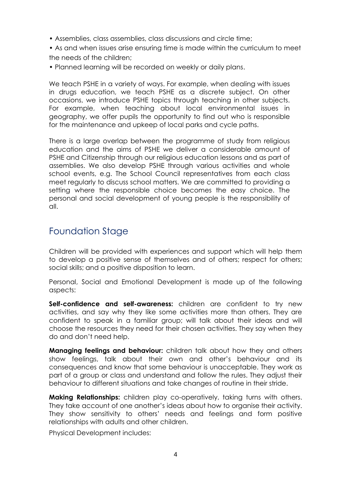- Assemblies, class assemblies, class discussions and circle time;
- As and when issues arise ensuring time is made within the curriculum to meet the needs of the children;
- Planned learning will be recorded on weekly or daily plans.

We teach PSHE in a variety of ways. For example, when dealing with issues in drugs education, we teach PSHE as a discrete subject. On other occasions, we introduce PSHE topics through teaching in other subjects. For example, when teaching about local environmental issues in geography, we offer pupils the opportunity to find out who is responsible for the maintenance and upkeep of local parks and cycle paths.

There is a large overlap between the programme of study from religious education and the aims of PSHE we deliver a considerable amount of PSHE and Citizenship through our religious education lessons and as part of assemblies. We also develop PSHE through various activities and whole school events, e.g. The School Council representatives from each class meet regularly to discuss school matters. We are committed to providing a setting where the responsible choice becomes the easy choice. The personal and social development of young people is the responsibility of all.

#### Foundation Stage

Children will be provided with experiences and support which will help them to develop a positive sense of themselves and of others; respect for others; social skills; and a positive disposition to learn.

Personal, Social and Emotional Development is made up of the following aspects:

**Self-confidence and self-awareness:** children are confident to try new activities, and say why they like some activities more than others. They are confident to speak in a familiar group; will talk about their ideas and will choose the resources they need for their chosen activities. They say when they do and don't need help.

**Managing feelings and behaviour:** children talk about how they and others show feelings, talk about their own and other's behaviour and its consequences and know that some behaviour is unacceptable. They work as part of a group or class and understand and follow the rules. They adjust their behaviour to different situations and take changes of routine in their stride.

**Making Relationships:** children play co-operatively, taking turns with others. They take account of one another's ideas about how to organise their activity. They show sensitivity to others' needs and feelings and form positive relationships with adults and other children.

Physical Development includes: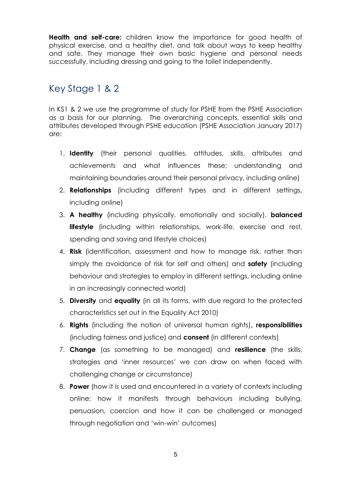**Health and self-care:** children know the importance for good health of physical exercise, and a healthy diet, and talk about ways to keep healthy and safe. They manage their own basic hygiene and personal needs successfully, including dressing and going to the toilet independently.

## Key Stage 1 & 2

In KS1 & 2 we use the programme of study for PSHE from the PSHE Association as a basis for our planning. The overarching concepts, essential skills and attributes developed through PSHE education (PSHE Association January 2017) are:

- 1. **Identity** (their personal qualities, attitudes, skills, attributes and achievements and what influences these; understanding and maintaining boundaries around their personal privacy, including online)
- 2. **Relationships** (including different types and in different settings, including online)
- 3. **A healthy** (including physically, emotionally and socially), **balanced lifestyle** (including within relationships, work-life, exercise and rest, spending and saving and lifestyle choices)
- 4. **Risk** (identification, assessment and how to manage risk, rather than simply the avoidance of risk for self and others) and **safety** (including behaviour and strategies to employ in different settings, including online in an increasingly connected world)
- 5. **Diversity** and **equality** (in all its forms, with due regard to the protected characteristics set out in the Equality Act 2010)
- 6. **Rights** (including the notion of universal human rights)**, responsibilities**  (including fairness and justice) and **consent** (in different contexts)
- 7. **Change** (as something to be managed) and **resilience** (the skills, strategies and 'inner resources' we can draw on when faced with challenging change or circumstance)
- 8. **Power** (how it is used and encountered in a variety of contexts including online; how it manifests through behaviours including bullying, persuasion, coercion and how it can be challenged or managed through negotiation and 'win-win' outcomes)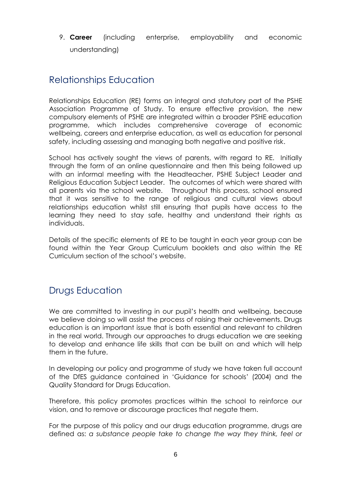9. **Career** (including enterprise, employability and economic understanding)

### Relationships Education

Relationships Education (RE) forms an integral and statutory part of the PSHE Association Programme of Study. To ensure effective provision, the new compulsory elements of PSHE are integrated within a broader PSHE education programme, which includes comprehensive coverage of economic wellbeing, careers and enterprise education, as well as education for personal safety, including assessing and managing both negative and positive risk.

School has actively sought the views of parents, with regard to RE. Initially through the form of an online questionnaire and then this being followed up with an informal meeting with the Headteacher, PSHE Subject Leader and Religious Education Subject Leader. The outcomes of which were shared with all parents via the school website. Throughout this process, school ensured that it was sensitive to the range of religious and cultural views about relationships education whilst still ensuring that pupils have access to the learning they need to stay safe, healthy and understand their rights as individuals.

Details of the specific elements of RE to be taught in each year group can be found within the Year Group Curriculum booklets and also within the RE Curriculum section of the school's website.

# Drugs Education

We are committed to investing in our pupil's health and wellbeing, because we believe doing so will assist the process of raising their achievements. Drugs education is an important issue that is both essential and relevant to children in the real world. Through our approaches to drugs education we are seeking to develop and enhance life skills that can be built on and which will help them in the future.

In developing our policy and programme of study we have taken full account of the DfES guidance contained in 'Guidance for schools' (2004) and the Quality Standard for Drugs Education.

Therefore, this policy promotes practices within the school to reinforce our vision, and to remove or discourage practices that negate them.

For the purpose of this policy and our drugs education programme, drugs are defined as: *a substance people take to change the way they think, feel or*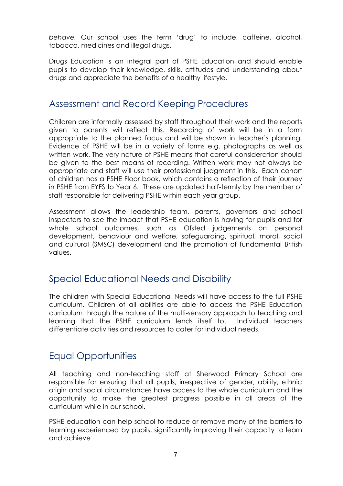*behave.* Our school uses the term 'drug' to include, caffeine, alcohol, tobacco, medicines and illegal drugs.

Drugs Education is an integral part of PSHE Education and should enable pupils to develop their knowledge, skills, attitudes and understanding about drugs and appreciate the benefits of a healthy lifestyle.

#### Assessment and Record Keeping Procedures

Children are informally assessed by staff throughout their work and the reports given to parents will reflect this. Recording of work will be in a form appropriate to the planned focus and will be shown in teacher's planning. Evidence of PSHE will be in a variety of forms e.g. photographs as well as written work. The very nature of PSHE means that careful consideration should be given to the best means of recording. Written work may not always be appropriate and staff will use their professional judgment in this. Each cohort of children has a PSHE Floor book, which contains a reflection of their journey in PSHE from EYFS to Year 6. These are updated half-termly by the member of staff responsible for delivering PSHE within each year group.

Assessment allows the leadership team, parents, governors and school inspectors to see the impact that PSHE education is having for pupils and for whole school outcomes, such as Ofsted judgements on personal development, behaviour and welfare, safeguarding, spiritual, moral, social and cultural (SMSC) development and the promotion of fundamental British values.

#### Special Educational Needs and Disability

The children with Special Educational Needs will have access to the full PSHE curriculum. Children of all abilities are able to access the PSHE Education curriculum through the nature of the multi-sensory approach to teaching and learning that the PSHE curriculum lends itself to. Individual teachers differentiate activities and resources to cater for individual needs.

# Equal Opportunities

All teaching and non-teaching staff at Sherwood Primary School are responsible for ensuring that all pupils, irrespective of gender, ability, ethnic origin and social circumstances have access to the whole curriculum and the opportunity to make the greatest progress possible in all areas of the curriculum while in our school.

PSHE education can help school to reduce or remove many of the barriers to learning experienced by pupils, significantly improving their capacity to learn and achieve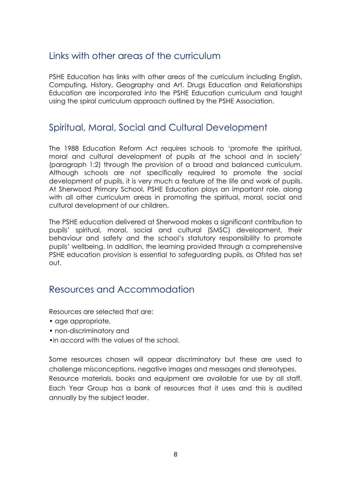#### Links with other areas of the curriculum

PSHE Education has links with other areas of the curriculum including English, Computing, History, Geography and Art. Drugs Education and Relationships Education are incorporated into the PSHE Education curriculum and taught using the spiral curriculum approach outlined by the PSHE Association.

#### Spiritual, Moral, Social and Cultural Development

The 1988 Education Reform Act requires schools to 'promote the spiritual, moral and cultural development of pupils at the school and in society' (paragraph 1:2) through the provision of a broad and balanced curriculum. Although schools are not specifically required to promote the social development of pupils, it is very much a feature of the life and work of pupils. At Sherwood Primary School, PSHE Education plays an important role, along with all other curriculum areas in promoting the spiritual, moral, social and cultural development of our children.

The PSHE education delivered at Sherwood makes a significant contribution to pupils' spiritual, moral, social and cultural (SMSC) development, their behaviour and safety and the school's statutory responsibility to promote pupils' wellbeing. In addition, the learning provided through a comprehensive PSHE education provision is essential to safeguarding pupils, as Ofsted has set out.

#### Resources and Accommodation

Resources are selected that are:

- age appropriate,
- non-discriminatory and
- •in accord with the values of the school.

Some resources chosen will appear discriminatory but these are used to challenge misconceptions, negative images and messages and stereotypes. Resource materials, books and equipment are available for use by all staff. Each Year Group has a bank of resources that it uses and this is audited annually by the subject leader.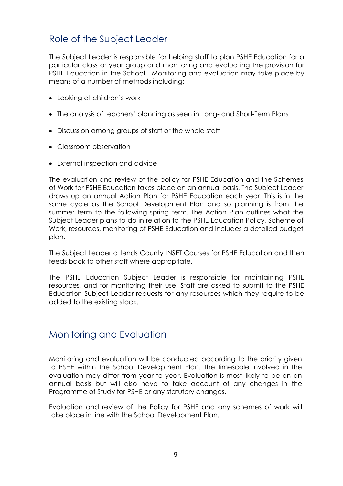### Role of the Subject Leader

The Subject Leader is responsible for helping staff to plan PSHE Education for a particular class or year group and monitoring and evaluating the provision for PSHE Education in the School. Monitoring and evaluation may take place by means of a number of methods including:

- Looking at children's work
- The analysis of teachers' planning as seen in Long- and Short-Term Plans
- Discussion among groups of staff or the whole staff
- Classroom observation
- External inspection and advice

The evaluation and review of the policy for PSHE Education and the Schemes of Work for PSHE Education takes place on an annual basis. The Subject Leader draws up an annual Action Plan for PSHE Education each year. This is in the same cycle as the School Development Plan and so planning is from the summer term to the following spring term. The Action Plan outlines what the Subject Leader plans to do in relation to the PSHE Education Policy, Scheme of Work, resources, monitoring of PSHE Education and includes a detailed budget plan.

The Subject Leader attends County INSET Courses for PSHE Education and then feeds back to other staff where appropriate.

The PSHE Education Subject Leader is responsible for maintaining PSHE resources, and for monitoring their use. Staff are asked to submit to the PSHE Education Subject Leader requests for any resources which they require to be added to the existing stock.

#### Monitoring and Evaluation

Monitoring and evaluation will be conducted according to the priority given to PSHE within the School Development Plan. The timescale involved in the evaluation may differ from year to year. Evaluation is most likely to be on an annual basis but will also have to take account of any changes in the Programme of Study for PSHE or any statutory changes.

Evaluation and review of the Policy for PSHE and any schemes of work will take place in line with the School Development Plan.